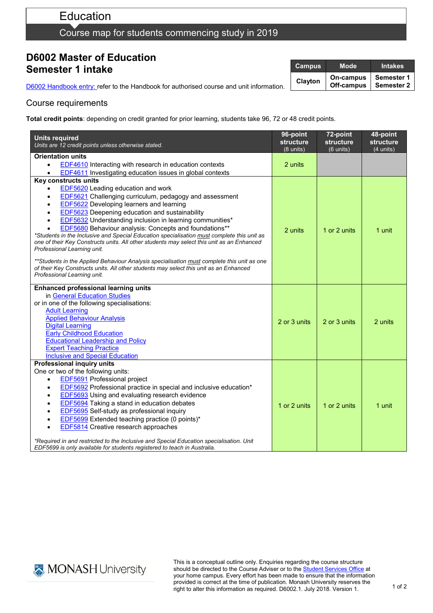# Education

### Course map for students commencing study in 2019

### **D6002 Master of Education Semester 1 intake**

D6002 [Handbook entry: r](http://www.monash.edu.au/pubs/2019handbooks/courses/D6002.html)efer to the Handbook for authorised course and unit information.

| <b>Campus</b> | Mode                    | <b>Intakes</b>           |
|---------------|-------------------------|--------------------------|
| Clayton       | On-campus<br>Off-campus | Semester 1<br>Semester 2 |

#### Course requirements

**Total credit points**: depending on credit granted for prior learning, students take 96, 72 or 48 credit points.

| <b>Units required</b><br>Units are 12 credit points unless otherwise stated.                                                                                        | 96-point<br>structure<br>$(8 \text{ units})$ | 72-point<br><b>structure</b><br>$(6 \text{ units})$ | 48-point<br><b>structure</b><br>$(4 \text{ units})$ |
|---------------------------------------------------------------------------------------------------------------------------------------------------------------------|----------------------------------------------|-----------------------------------------------------|-----------------------------------------------------|
| Orientation units                                                                                                                                                   |                                              |                                                     |                                                     |
| <b>EDF4610</b> Interacting with research in education contexts<br>$\bullet$                                                                                         | 2 units                                      |                                                     |                                                     |
| <b>EDF4611</b> Investigating education issues in global contexts                                                                                                    |                                              |                                                     |                                                     |
| Key constructs units                                                                                                                                                |                                              |                                                     |                                                     |
| <b>EDF5620</b> Leading education and work                                                                                                                           |                                              |                                                     |                                                     |
| EDF5621 Challenging curriculum, pedagogy and assessment<br>$\bullet$                                                                                                |                                              |                                                     |                                                     |
| EDF5622 Developing learners and learning                                                                                                                            |                                              |                                                     |                                                     |
| <b>EDF5623</b> Deepening education and sustainability                                                                                                               |                                              |                                                     |                                                     |
| <b>EDF5632</b> Understanding inclusion in learning communities*                                                                                                     |                                              |                                                     |                                                     |
| <b>EDF5680</b> Behaviour analysis: Concepts and foundations**                                                                                                       | 2 units                                      | 1 or 2 units                                        | 1 unit                                              |
| *Students in the Inclusive and Special Education specialisation must complete this unit as                                                                          |                                              |                                                     |                                                     |
| one of their Key Constructs units. All other students may select this unit as an Enhanced                                                                           |                                              |                                                     |                                                     |
| Professional Learning unit.                                                                                                                                         |                                              |                                                     |                                                     |
| **Students in the Applied Behaviour Analysis specialisation must complete this unit as one                                                                          |                                              |                                                     |                                                     |
| of their Key Constructs units. All other students may select this unit as an Enhanced                                                                               |                                              |                                                     |                                                     |
| Professional Learning unit.                                                                                                                                         |                                              |                                                     |                                                     |
|                                                                                                                                                                     |                                              |                                                     |                                                     |
| <b>Enhanced professional learning units</b><br>in General Education Studies                                                                                         |                                              |                                                     |                                                     |
| or in one of the following specialisations:                                                                                                                         |                                              |                                                     |                                                     |
| <b>Adult Learning</b>                                                                                                                                               |                                              |                                                     |                                                     |
| <b>Applied Behaviour Analysis</b>                                                                                                                                   |                                              |                                                     |                                                     |
| <b>Digital Learning</b>                                                                                                                                             | 2 or 3 units                                 | 2 or 3 units                                        | 2 units                                             |
| <b>Early Childhood Education</b>                                                                                                                                    |                                              |                                                     |                                                     |
| <b>Educational Leadership and Policy</b>                                                                                                                            |                                              |                                                     |                                                     |
| <b>Expert Teaching Practice</b>                                                                                                                                     |                                              |                                                     |                                                     |
| <b>Inclusive and Special Education</b>                                                                                                                              |                                              |                                                     |                                                     |
| <b>Professional inquiry units</b>                                                                                                                                   |                                              |                                                     |                                                     |
| One or two of the following units:                                                                                                                                  |                                              |                                                     |                                                     |
| EDF5691 Professional project<br>$\bullet$                                                                                                                           |                                              |                                                     |                                                     |
| <b>EDF5692</b> Professional practice in special and inclusive education*                                                                                            |                                              |                                                     |                                                     |
| <b>EDF5693</b> Using and evaluating research evidence                                                                                                               |                                              |                                                     |                                                     |
| <b>EDF5694</b> Taking a stand in education debates                                                                                                                  | 1 or 2 units                                 | 1 or 2 units                                        | 1 unit                                              |
| EDF5695 Self-study as professional inquiry                                                                                                                          |                                              |                                                     |                                                     |
| EDF5699 Extended teaching practice (0 points)*                                                                                                                      |                                              |                                                     |                                                     |
| EDF5814 Creative research approaches                                                                                                                                |                                              |                                                     |                                                     |
| *Required in and restricted to the Inclusive and Special Education specialisation. Unit<br>EDF5699 is only available for students registered to teach in Australia. |                                              |                                                     |                                                     |



This is a conceptual outline only. Enquiries regarding the course structure should be directed to the Course Adviser or to the **Student Services Office** at your home campus. Every effort has been made to ensure that the information provided is correct at the time of publication. Monash University reserves the right to alter this information as required. D6002.1. July 2018. Version 1.